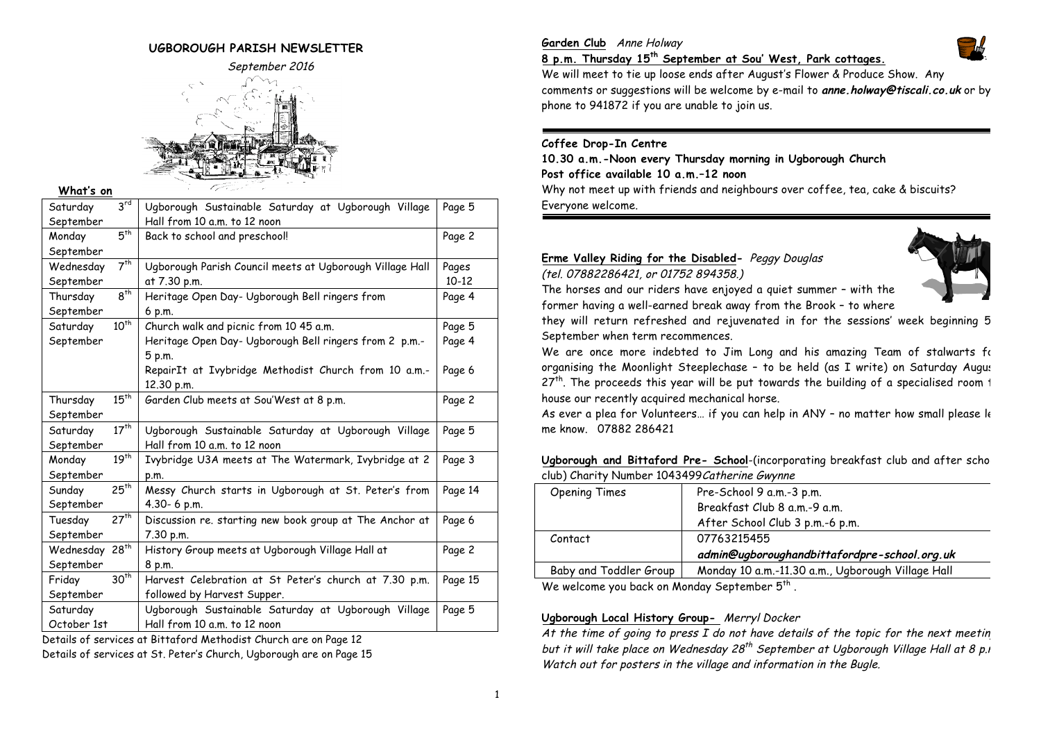# **UGBOROUGH PARISH NEWSLETTER**



**What's on**

| Page 5<br>Page 2<br>Pages<br>$10 - 12$ |
|----------------------------------------|
|                                        |
|                                        |
|                                        |
|                                        |
|                                        |
|                                        |
| Page 4                                 |
|                                        |
| Page 5                                 |
| Page 4                                 |
|                                        |
| Page 6                                 |
|                                        |
| Page 2                                 |
|                                        |
| Page 5                                 |
|                                        |
| Page 3                                 |
|                                        |
| Page 14                                |
|                                        |
| Page 6                                 |
|                                        |
| Page 2                                 |
|                                        |
| Page 15                                |
|                                        |
| Page 5                                 |
|                                        |
|                                        |

Details of services at Bittaford Methodist Church are on Page 12 Details of services at St. Peter's Church, Ugborough are on Page 15

# **Garden Club** Anne Holway



We will meet to tie up loose ends after August's Flower & Produce Show. Any comments or suggestions will be welcome by e-mail to **anne.holway@tiscali.co.uk** or by phone to 941872 if you are unable to join us.

# **Coffee Drop-In Centre**

**10.30 a.m.-Noon every Thursday morning in Ugborough Church Post office available 10 a.m.–12 noon** Why not meet up with friends and neighbours over coffee, tea, cake & biscuits? Everyone welcome.

# **Erme Valley Riding for the Disabled-** Peggy Douglas

(tel. 07882286421, or 01752 894358.)



The horses and our riders have enjoyed a quiet summer – with the former having a well-earned break away from the Brook – to where

they will return refreshed and rejuvenated in for the sessions' week beginning 5 September when term recommences.

We are once more indebted to Jim Long and his amazing Team of stalwarts for organising the Moonlight Steeplechase - to be held (as I write) on Saturday August  $27<sup>th</sup>$ . The proceeds this year will be put towards the building of a specialised room 1 house our recently acquired mechanical horse.

As ever a plea for Volunteers... if you can help in ANY - no matter how small please Ie me know. 07882 286421

**Ugborough and Bittaford Pre- School**-(incorporating breakfast club and after school club) Charity Number 1043499Catherine Gwynne

| Opening Times                                               | Pre-School 9 a.m.-3 p.m.                          |  |
|-------------------------------------------------------------|---------------------------------------------------|--|
|                                                             | Breakfast Club 8 a.m.-9 a.m.                      |  |
|                                                             | After School Club 3 p.m.-6 p.m.                   |  |
| Contact                                                     | 07763215455                                       |  |
|                                                             | admin@ugboroughandbittafordpre-school.org.uk      |  |
| Baby and Toddler Group                                      | Monday 10 a.m.-11.30 a.m., Ugborough Village Hall |  |
| $M$ , and also also also the distribution of the $\epsilon$ |                                                   |  |

We welcome you back on Monday September  $5<sup>tn</sup>$ .

# **Ugborough Local History Group-** Merryl Docker

At the time of going to press  $I$  do not have details of the topic for the next meetin but it will take place on Wednesday  $28^{th}$  September at Ugborough Village Hall at 8 p.m. Watch out for posters in the village and information in the Bugle.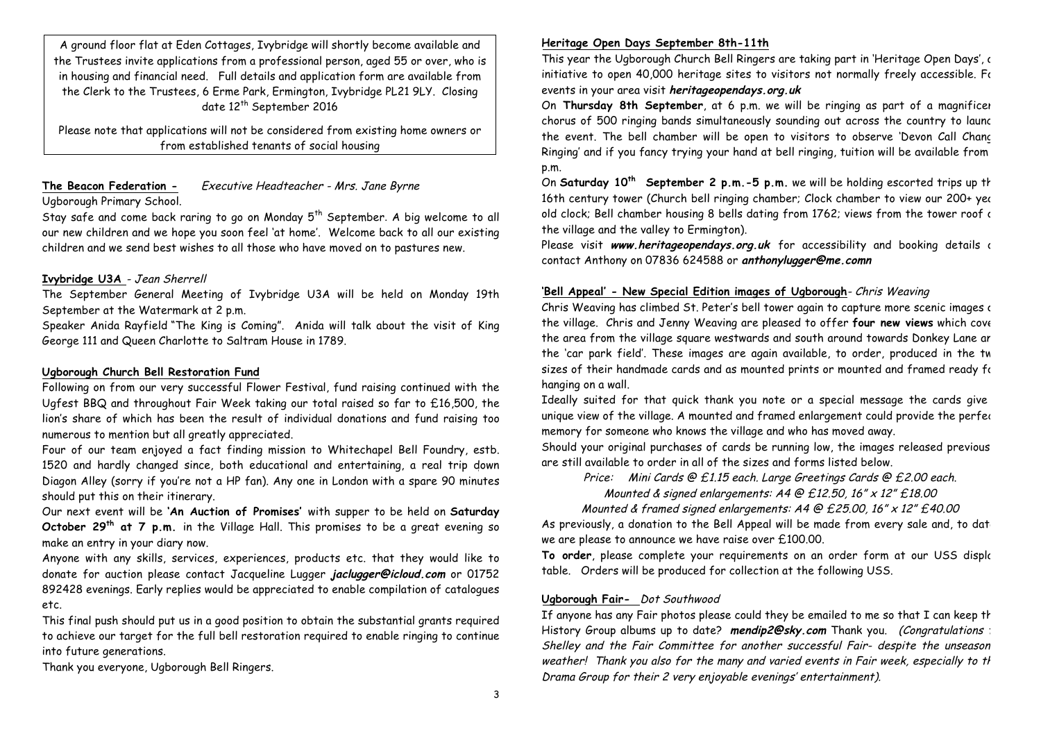A ground floor flat at Eden Cottages, Ivybridge will shortly become available and the Trustees invite applications from a professional person, aged 55 or over, who is in housing and financial need. Full details and application form are available from the Clerk to the Trustees, 6 Erme Park, Ermington, Ivybridge PL21 9LY. Closing date 12<sup>th</sup> September 2016

Please note that applications will not be considered from existing home owners or from established tenants of social housing

# **The Beacon Federation -** Executive Headteacher - Mrs. Jane Byrne Ugborough Primary School.

Stay safe and come back raring to go on Monday  $5<sup>th</sup>$  September. A big welcome to all our new children and we hope you soon feel 'at home'. Welcome back to all our existing children and we send best wishes to all those who have moved on to pastures new.

# **Ivybridge U3A** - Jean Sherrell

The September General Meeting of Ivybridge U3A will be held on Monday 19th September at the Watermark at 2 p.m.

Speaker Anida Rayfield "The King is Coming". Anida will talk about the visit of King George 111 and Queen Charlotte to Saltram House in 1789.

# **Ugborough Church Bell Restoration Fund**

Following on from our very successful Flower Festival, fund raising continued with the Ugfest BBQ and throughout Fair Week taking our total raised so far to £16,500, the lion's share of which has been the result of individual donations and fund raising too numerous to mention but all greatly appreciated.

Four of our team enjoyed a fact finding mission to Whitechapel Bell Foundry, estb. 1520 and hardly changed since, both educational and entertaining, a real trip down Diagon Alley (sorry if you're not a HP fan). Any one in London with a spare 90 minutes should put this on their itinerary.

Our next event will be **'An Auction of Promises'** with supper to be held on **Saturday October 29th at 7 p.m.** in the Village Hall. This promises to be a great evening so make an entry in your diary now.

Anyone with any skills, services, experiences, products etc. that they would like to donate for auction please contact Jacqueline Lugger **jaclugger@icloud.com** or 01752 892428 evenings. Early replies would be appreciated to enable compilation of catalogues etc.

This final push should put us in a good position to obtain the substantial grants required to achieve our target for the full bell restoration required to enable ringing to continue into future generations.

Thank you everyone, Ugborough Bell Ringers.

# **Heritage Open Days September 8th-11th**

This year the Ugborough Church Bell Ringers are taking part in 'Heritage Open Days', c initiative to open 40,000 heritage sites to visitors not normally freely accessible. For events in your area visit **heritageopendays.org.uk**

On **Thursday 8th September**, at 6 p.m. we will be ringing as part of a magnificent chorus of 500 ringing bands simultaneously sounding out across the country to launch the event. The bell chamber will be open to visitors to observe 'Devon Call Chanc Ringing' and if you fancy trying your hand at bell ringing, tuition will be available from 7 p.m.

On **Saturday 10th September 2 p.m.-5 p.m.** we will be holding escorted trips up the 16th century tower (Church bell ringing chamber; Clock chamber to view our 200+ year old clock; Bell chamber housing 8 bells dating from 1762; views from the tower roof  $\epsilon$ the village and the valley to Ermington).

Please visit www.heritageopendays.org.uk for accessibility and booking details a contact Anthony on 07836 624588 or **anthonylugger@me.comn**

#### **'Bell Appeal' - New Special Edition images of Ugborough**- Chris Weaving

Chris Weaving has climbed St. Peter's bell tower again to capture more scenic images of the village. Chris and Jenny Weaving are pleased to offer **four new views** which cover the area from the village square westwards and south around towards Donkey Lane ar the 'car park field'. These images are again available, to order, produced in the tw sizes of their handmade cards and as mounted prints or mounted and framed ready for hanging on a wall.

Ideally suited for that quick thank you note or a special message the cards give a unique view of the village. A mounted and framed enlargement could provide the perfect memory for someone who knows the village and who has moved away.

Should your original purchases of cards be running low, the images released previous are still available to order in all of the sizes and forms listed below.

Price: Mini Cards @ £1.15 each. Large Greetings Cards @ £2.00 each.

Mounted & signed enlargements:  $A4 \oplus E12.50$ ,  $16'' \times 12'' E18.00$ 

Mounted & framed signed enlargements: A4 @ £25.00, 16" x 12" £40.00

As previously, a donation to the Bell Appeal will be made from every sale and, to date we are please to announce we have raise over £100.00.

To order, please complete your requirements on an order form at our USS display table. Orders will be produced for collection at the following USS.

#### **Ugborough Fair-** Dot Southwood

If anyone has any Fair photos please could they be emailed to me so that I can keep  $t$ History Group albums up to date? mendip2@sky.com Thank you. (Congratulations to Shelley and the Fair Committee for another successful Fair- despite the unseason weather! Thank you also for the many and varied events in Fair week, especially to the Drama Group for their 2 very enjoyable evenings' entertainment).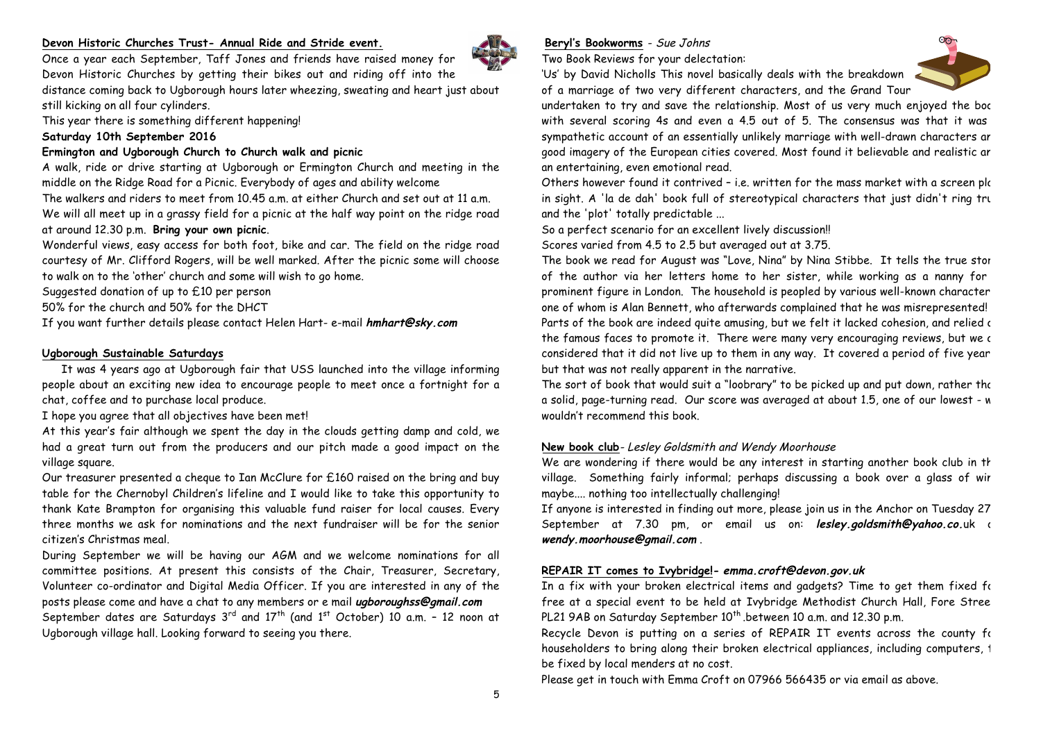#### **Devon Historic Churches Trust- Annual Ride and Stride event.**



Devon Historic Churches by getting their bikes out and riding off into the distance coming back to Ugborough hours later wheezing, sweating and heart just about still kicking on all four cylinders.

Once a year each September, Taff Jones and friends have raised money for

This year there is something different happening!

# **Saturday 10th September 2016**

# **Ermington and Ugborough Church to Church walk and picnic**

A walk, ride or drive starting at Ugborough or Ermington Church and meeting in the middle on the Ridge Road for a Picnic. Everybody of ages and ability welcome

The walkers and riders to meet from 10.45 a.m. at either Church and set out at 11 a.m. We will all meet up in a grassy field for a picnic at the half way point on the ridge road at around 12.30 p.m. **Bring your own picnic**.

Wonderful views, easy access for both foot, bike and car. The field on the ridge road courtesy of Mr. Clifford Rogers, will be well marked. After the picnic some will choose to walk on to the 'other' church and some will wish to go home.

Suggested donation of up to £10 per person

50% for the church and 50% for the DHCT

If you want further details please contact Helen Hart- e-mail **hmhart@sky.com**

# **Ugborough Sustainable Saturdays**

It was 4 years ago at Ugborough fair that USS launched into the village informing people about an exciting new idea to encourage people to meet once a fortnight for a chat, coffee and to purchase local produce.

I hope you agree that all objectives have been met!

At this year's fair although we spent the day in the clouds getting damp and cold, we had a great turn out from the producers and our pitch made a good impact on the village square.

Our treasurer presented a cheque to Ian McClure for £160 raised on the bring and buy table for the Chernobyl Children's lifeline and I would like to take this opportunity to thank Kate Brampton for organising this valuable fund raiser for local causes. Every three months we ask for nominations and the next fundraiser will be for the senior citizen's Christmas meal.

During September we will be having our AGM and we welcome nominations for all committee positions. At present this consists of the Chair, Treasurer, Secretary, Volunteer co-ordinator and Digital Media Officer. If you are interested in any of the posts please come and have a chat to any members or e mail **ugboroughss@gmail.com** September dates are Saturdays  $3^{rd}$  and  $17^{th}$  (and  $1^{st}$  October) 10 a.m. - 12 noon at Ugborough village hall. Looking forward to seeing you there.

# **Beryl's Bookworms** - Sue Johns

Two Book Reviews for your delectation:

'Us' by David Nicholls This novel basically deals with the breakdown of a marriage of two very different characters, and the Grand Tour



undertaken to try and save the relationship. Most of us very much enjoyed the boc with several scoring 4s and even a 4.5 out of 5. The consensus was that it was sympathetic account of an essentially unlikely marriage with well-drawn characters ar good imagery of the European cities covered. Most found it believable and realistic an an entertaining, even emotional read.

Others however found it contrived - i.e. written for the mass market with a screen plo in sight. A 'la de dah' book full of stereotypical characters that just didn't ring true and the 'plot' totally predictable ...

So a perfect scenario for an excellent lively discussion!! Scores varied from 4.5 to 2.5 but averaged out at 3.75.

The book we read for August was "Love, Nina" by Nina Stibbe. It tells the true story of the author via her letters home to her sister, while working as a nanny for prominent figure in London. The household is peopled by various well-known character one of whom is Alan Bennett, who afterwards complained that he was misrepresented! Parts of the book are indeed quite amusing, but we felt it lacked cohesion, and relied c the famous faces to promote it. There were many very encouraging reviews, but we c considered that it did not live up to them in any way. It covered a period of five year but that was not really apparent in the narrative.

The sort of book that would suit a "loobrary" to be picked up and put down, rather the a solid, page-turning read. Our score was averaged at about 1.5, one of our lowest - we wouldn't recommend this book.

# **New book club**- Lesley Goldsmith and Wendy Moorhouse

We are wondering if there would be any interest in starting another book club in the village. Something fairly informal; perhaps discussing a book over a glass of wir maybe.... nothing too intellectually challenging!

If anyone is interested in finding out more, please join us in the Anchor on Tuesday 27 September at 7.30 pm, or email us on: **lesley.goldsmith@yahoo.co.**uk a **wendy.moorhouse@gmail.com** .

# **REPAIR IT comes to Ivybridge!- emma.croft@devon.gov.uk**

In a fix with your broken electrical items and gadgets? Time to get them fixed for free at a special event to be held at Ivybridge Methodist Church Hall, Fore Stree PL21 9AB on Saturday September 10<sup>th</sup> .between 10 a.m. and 12.30 p.m.

Recycle Devon is putting on a series of REPAIR IT events across the county for householders to bring along their broken electrical appliances, including computers, 1 be fixed by local menders at no cost.

Please get in touch with Emma Croft on 07966 566435 or via email as above.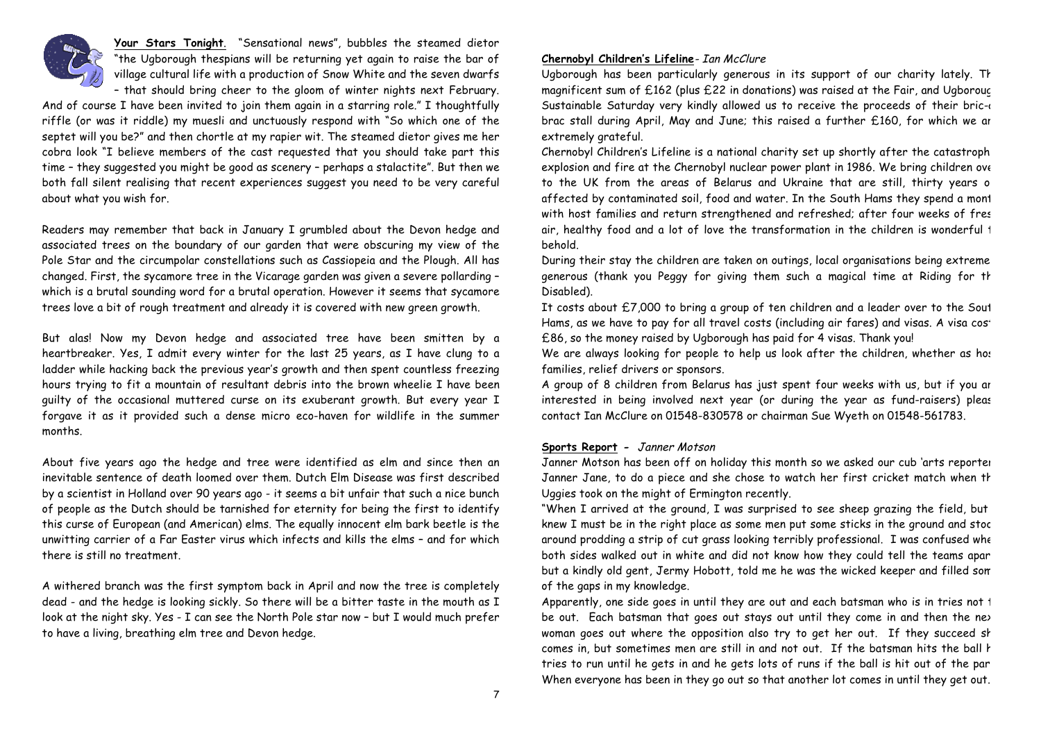

**Your Stars Tonight**. "Sensational news", bubbles the steamed dietor "the Ugborough thespians will be returning yet again to raise the bar of village cultural life with a production of Snow White and the seven dwarfs – that should bring cheer to the gloom of winter nights next February.

And of course I have been invited to join them again in a starring role." I thoughtfully riffle (or was it riddle) my muesli and unctuously respond with "So which one of the septet will you be?" and then chortle at my rapier wit. The steamed dietor gives me her cobra look "I believe members of the cast requested that you should take part this time – they suggested you might be good as scenery – perhaps a stalactite". But then we both fall silent realising that recent experiences suggest you need to be very careful about what you wish for.

Readers may remember that back in January I grumbled about the Devon hedge and associated trees on the boundary of our garden that were obscuring my view of the Pole Star and the circumpolar constellations such as Cassiopeia and the Plough. All has changed. First, the sycamore tree in the Vicarage garden was given a severe pollarding – which is a brutal sounding word for a brutal operation. However it seems that sycamore trees love a bit of rough treatment and already it is covered with new green growth.

But alas! Now my Devon hedge and associated tree have been smitten by a heartbreaker. Yes, I admit every winter for the last 25 years, as I have clung to a ladder while hacking back the previous year's growth and then spent countless freezing hours trying to fit a mountain of resultant debris into the brown wheelie I have been guilty of the occasional muttered curse on its exuberant growth. But every year I forgave it as it provided such a dense micro eco-haven for wildlife in the summer months.

About five years ago the hedge and tree were identified as elm and since then an inevitable sentence of death loomed over them. Dutch Elm Disease was first described by a scientist in Holland over 90 years ago - it seems a bit unfair that such a nice bunch of people as the Dutch should be tarnished for eternity for being the first to identify this curse of European (and American) elms. The equally innocent elm bark beetle is the unwitting carrier of a Far Easter virus which infects and kills the elms – and for which there is still no treatment.

A withered branch was the first symptom back in April and now the tree is completely dead - and the hedge is looking sickly. So there will be a bitter taste in the mouth as I look at the night sky. Yes - I can see the North Pole star now – but I would much prefer to have a living, breathing elm tree and Devon hedge.

## **Chernobyl Children's Lifeline**- Ian McClure

Ugborough has been particularly generous in its support of our charity lately. The magnificent sum of £162 (plus £22 in donations) was raised at the Fair, and Ugborough Sustainable Saturday very kindly allowed us to receive the proceeds of their bric- $\alpha$ brac stall during April, May and June; this raised a further £160, for which we are extremely grateful.

Chernobyl Children's Lifeline is a national charity set up shortly after the catastroph explosion and fire at the Chernobyl nuclear power plant in 1986. We bring children over to the UK from the areas of Belarus and Ukraine that are still, thirty years o affected by contaminated soil, food and water. In the South Hams they spend a month with host families and return strengthened and refreshed; after four weeks of fres air, healthy food and a lot of love the transformation in the children is wonderful 1 behold.

During their stay the children are taken on outings, local organisations being extreme generous (thank you Peggy for giving them such a magical time at Riding for the Disabled).

It costs about £7,000 to bring a group of ten children and a leader over to the South Hams, as we have to pay for all travel costs (including air fares) and visas. A visa cost £86, so the money raised by Ugborough has paid for 4 visas. Thank you!

We are always looking for people to help us look after the children, whether as host families, relief drivers or sponsors.

A group of 8 children from Belarus has just spent four weeks with us, but if you are interested in being involved next year (or during the year as fund-raisers) pleas contact Ian McClure on 01548-830578 or chairman Sue Wyeth on 01548-561783.

#### **Sports Report -** Janner Motson

Janner Motson has been off on holiday this month so we asked our cub 'arts reporter', Janner Jane, to do a piece and she chose to watch her first cricket match when th Uggies took on the might of Ermington recently.

"When I arrived at the ground, I was surprised to see sheep grazing the field, but knew I must be in the right place as some men put some sticks in the ground and stoc around prodding a strip of cut grass looking terribly professional. I was confused when both sides walked out in white and did not know how they could tell the teams apar but a kindly old gent, Jermy Hobott, told me he was the wicked keeper and filled some of the gaps in my knowledge.

Apparently, one side goes in until they are out and each batsman who is in tries not  $1$ be out. Each batsman that goes out stays out until they come in and then the next woman goes out where the opposition also try to get her out. If they succeed she comes in, but sometimes men are still in and not out. If the batsman hits the ball  $\mathsf k$ tries to run until he gets in and he gets lots of runs if the ball is hit out of the park. When everyone has been in they go out so that another lot comes in until they get out.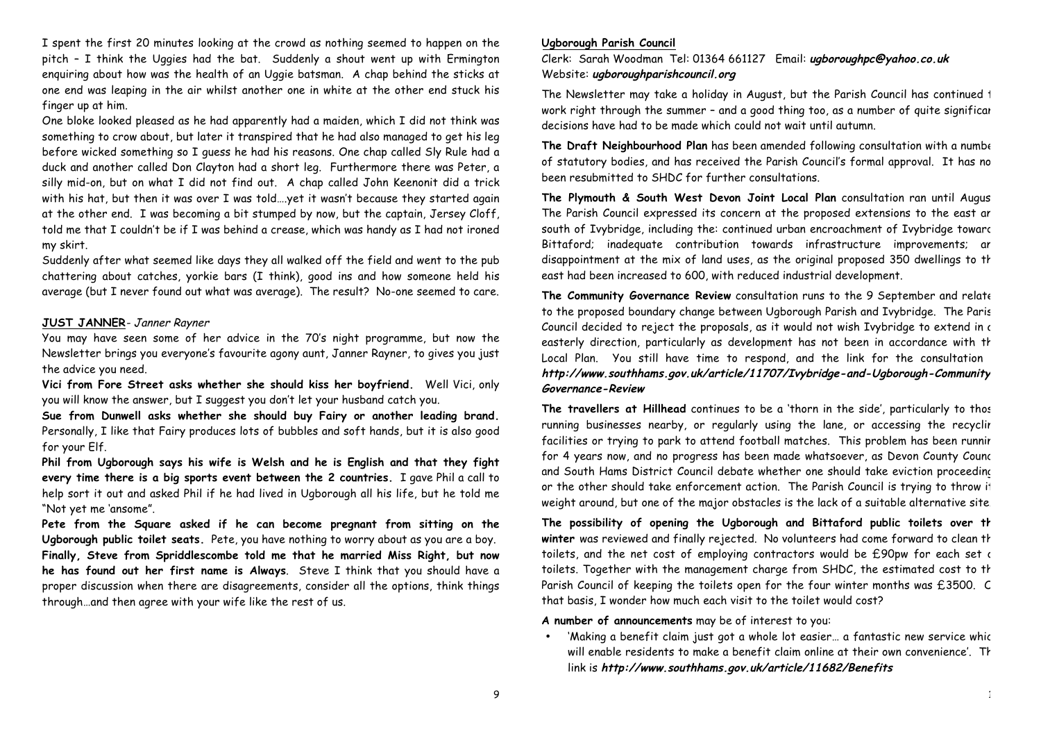I spent the first 20 minutes looking at the crowd as nothing seemed to happen on the pitch – I think the Uggies had the bat. Suddenly a shout went up with Ermington enquiring about how was the health of an Uggie batsman. A chap behind the sticks at one end was leaping in the air whilst another one in white at the other end stuck his finger up at him.

One bloke looked pleased as he had apparently had a maiden, which I did not think was something to crow about, but later it transpired that he had also managed to get his leg before wicked something so I guess he had his reasons. One chap called Sly Rule had a duck and another called Don Clayton had a short leg. Furthermore there was Peter, a silly mid-on, but on what I did not find out. A chap called John Keenonit did a trick with his hat, but then it was over I was told….yet it wasn't because they started again at the other end. I was becoming a bit stumped by now, but the captain, Jersey Cloff, told me that I couldn't be if I was behind a crease, which was handy as I had not ironed my skirt.

Suddenly after what seemed like days they all walked off the field and went to the pub chattering about catches, yorkie bars (I think), good ins and how someone held his average (but I never found out what was average). The result? No-one seemed to care.

#### **JUST JANNER**- Janner Rayner

You may have seen some of her advice in the 70's night programme, but now the Newsletter brings you everyone's favourite agony aunt, Janner Rayner, to gives you just the advice you need.

**Vici from Fore Street asks whether she should kiss her boyfriend.** Well Vici, only you will know the answer, but I suggest you don't let your husband catch you.

**Sue from Dunwell asks whether she should buy Fairy or another leading brand.** Personally, I like that Fairy produces lots of bubbles and soft hands, but it is also good for your Elf.

**Phil from Ugborough says his wife is Welsh and he is English and that they fight every time there is a big sports event between the 2 countries.** I gave Phil a call to help sort it out and asked Phil if he had lived in Ugborough all his life, but he told me "Not yet me 'ansome".

**Pete from the Square asked if he can become pregnant from sitting on the Ugborough public toilet seats.** Pete, you have nothing to worry about as you are a boy. **Finally, Steve from Spriddlescombe told me that he married Miss Right, but now he has found out her first name is Always**. Steve I think that you should have a proper discussion when there are disagreements, consider all the options, think things through…and then agree with your wife like the rest of us.

#### **Ugborough Parish Council**

Clerk: Sarah Woodman Tel: 01364 661127 Email: **ugboroughpc@yahoo.co.uk** Website: **ugboroughparishcouncil.org**

The Newsletter may take a holiday in August, but the Parish Council has continued to work right through the summer - and a good thing too, as a number of quite significant decisions have had to be made which could not wait until autumn.

**The Draft Neighbourhood Plan** has been amended following consultation with a number of statutory bodies, and has received the Parish Council's formal approval. It has no been resubmitted to SHDC for further consultations.

The Plymouth & South West Devon Joint Local Plan consultation ran until Augus The Parish Council expressed its concern at the proposed extensions to the east ar south of Ivybridge, including the: continued urban encroachment of Ivybridge toward Bittaford; inadequate contribution towards infrastructure improvements; ar disappointment at the mix of land uses, as the original proposed 350 dwellings to the east had been increased to 600, with reduced industrial development.

**The Community Governance Review** consultation runs to the 9 September and relates to the proposed boundary change between Ugborough Parish and Ivybridge. The Paris Council decided to reject the proposals, as it would not wish Ivybridge to extend in  $\epsilon$ easterly direction, particularly as development has not been in accordance with th Local Plan. You still have time to respond, and the link for the consultation **http://www.southhams.gov.uk/article/11707/Ivybridge-and-Ugborough-Community-Governance-Review**

The travellers at Hillhead continues to be a 'thorn in the side', particularly to those running businesses nearby, or regularly using the lane, or accessing the recyclir facilities or trying to park to attend football matches. This problem has been runnir for 4 years now, and no progress has been made whatsoever, as Devon County Council and South Hams District Council debate whether one should take eviction proceeding or the other should take enforcement action. The Parish Council is trying to throw it weight around, but one of the major obstacles is the lack of a suitable alternative site.

The possibility of opening the Ugborough and Bittaford public toilets over th winter was reviewed and finally rejected. No volunteers had come forward to clean the toilets, and the net cost of employing contractors would be £90pw for each set of toilets. Together with the management charge from SHDC, the estimated cost to th Parish Council of keeping the toilets open for the four winter months was £3500. C that basis, I wonder how much each visit to the toilet would cost?

**A number of announcements** may be of interest to you:

'Making a benefit claim just got a whole lot easier... a fantastic new service whic will enable residents to make a benefit claim online at their own convenience'. The link is **http://www.southhams.gov.uk/article/11682/Benefits**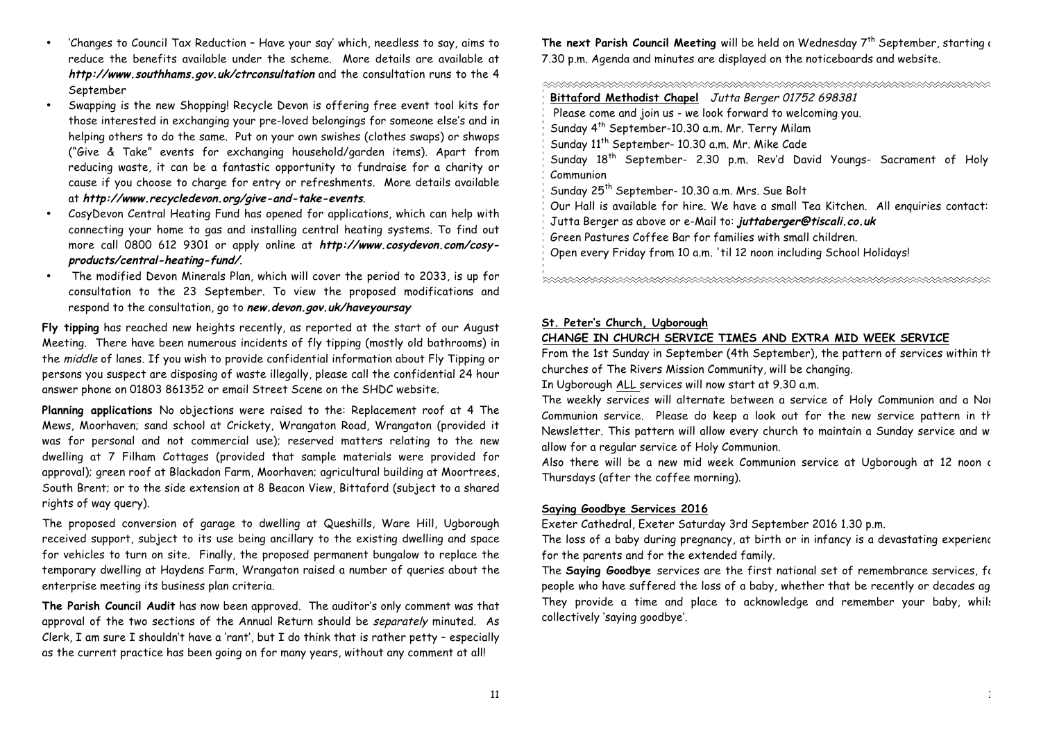- 'Changes to Council Tax Reduction Have your say' which, needless to say, aims to reduce the benefits available under the scheme. More details are available at **http://www.southhams.gov.uk/ctrconsultation** and the consultation runs to the 4 September
- Swapping is the new Shopping! Recycle Devon is offering free event tool kits for those interested in exchanging your pre-loved belongings for someone else's and in helping others to do the same. Put on your own swishes (clothes swaps) or shwops ("Give & Take" events for exchanging household/garden items). Apart from reducing waste, it can be a fantastic opportunity to fundraise for a charity or cause if you choose to charge for entry or refreshments. More details available at **http://www.recycledevon.org/give-and-take-events**.
- CosyDevon Central Heating Fund has opened for applications, which can help with connecting your home to gas and installing central heating systems. To find out more call 0800 612 9301 or apply online at **http://www.cosydevon.com/cosyproducts/central-heating-fund/**.
- The modified Devon Minerals Plan, which will cover the period to 2033, is up for consultation to the 23 September. To view the proposed modifications and respond to the consultation, go to **new.devon.gov.uk/haveyoursay**

**Fly tipping** has reached new heights recently, as reported at the start of our August Meeting. There have been numerous incidents of fly tipping (mostly old bathrooms) in the middle of lanes. If you wish to provide confidential information about Fly Tipping or persons you suspect are disposing of waste illegally, please call the confidential 24 hour answer phone on 01803 861352 or email Street Scene on the SHDC website.

**Planning applications** No objections were raised to the: Replacement roof at 4 The Mews, Moorhaven; sand school at Crickety, Wrangaton Road, Wrangaton (provided it was for personal and not commercial use); reserved matters relating to the new dwelling at 7 Filham Cottages (provided that sample materials were provided for approval); green roof at Blackadon Farm, Moorhaven; agricultural building at Moortrees, South Brent; or to the side extension at 8 Beacon View, Bittaford (subject to a shared rights of way query).

The proposed conversion of garage to dwelling at Queshills, Ware Hill, Ugborough received support, subject to its use being ancillary to the existing dwelling and space for vehicles to turn on site. Finally, the proposed permanent bungalow to replace the temporary dwelling at Haydens Farm, Wrangaton raised a number of queries about the enterprise meeting its business plan criteria.

**The Parish Council Audit** has now been approved. The auditor's only comment was that approval of the two sections of the Annual Return should be separately minuted. As Clerk, I am sure I shouldn't have a 'rant', but I do think that is rather petty – especially as the current practice has been going on for many years, without any comment at all!

The next Parish Council Meeting will be held on Wednesday 7<sup>th</sup> September, starting a 7.30 p.m. Agenda and minutes are displayed on the noticeboards and website.

| Bittaford Methodist Chapel Jutta Berger 01752 698381                                             |  |  |
|--------------------------------------------------------------------------------------------------|--|--|
| Please come and join us - we look forward to welcoming you.                                      |  |  |
| $\frac{1}{2}$ Sunday 4 <sup>th</sup> September-10.30 a.m. Mr. Terry Milam                        |  |  |
| Sunday 11th September- 10.30 a.m. Mr. Mike Cade                                                  |  |  |
| $\frac{1}{2}$ Sunday 18 <sup>th</sup> September- 2.30 p.m. Rev'd David Youngs- Sacrament of Holy |  |  |
| $\frac{2}{3}$ Communion                                                                          |  |  |
| $\frac{1}{2}$ Sunday 25 <sup>th</sup> September- 10.30 a.m. Mrs. Sue Bolt                        |  |  |
| 3 Our Hall is available for hire. We have a small Tea Kitchen. All enquiries contact:            |  |  |
| $\frac{1}{2}$ Jutta Berger as above or e-Mail to: <b>juttaberger@tiscali.co.uk</b>               |  |  |
| Green Pastures Coffee Bar for families with small children.                                      |  |  |
| $\frac{1}{2}$ Open every Friday from 10 a.m. 'til 12 noon including School Holidays!             |  |  |
|                                                                                                  |  |  |
|                                                                                                  |  |  |

#### **St. Peter's Church, Ugborough**

# **CHANGE IN CHURCH SERVICE TIMES AND EXTRA MID WEEK SERVICE**

From the 1st Sunday in September (4th September), the pattern of services within the churches of The Rivers Mission Community, will be changing.

In Ugborough ALL services will now start at 9.30 a.m.

The weekly services will alternate between a service of Holy Communion and a Non-Communion service. Please do keep a look out for the new service pattern in th Newsletter. This pattern will allow every church to maintain a Sunday service and w allow for a regular service of Holy Communion.

Also there will be a new mid week Communion service at Ugborough at 12 noon on Thursdays (after the coffee morning).

# **Saying Goodbye Services 2016**

Exeter Cathedral, Exeter Saturday 3rd September 2016 1.30 p.m.

The loss of a baby during pregnancy, at birth or in infancy is a devastating experience for the parents and for the extended family.

The **Saying Goodbye** services are the first national set of remembrance services, for people who have suffered the loss of a baby, whether that be recently or decades ag They provide a time and place to acknowledge and remember your baby, whils collectively 'saying goodbye'.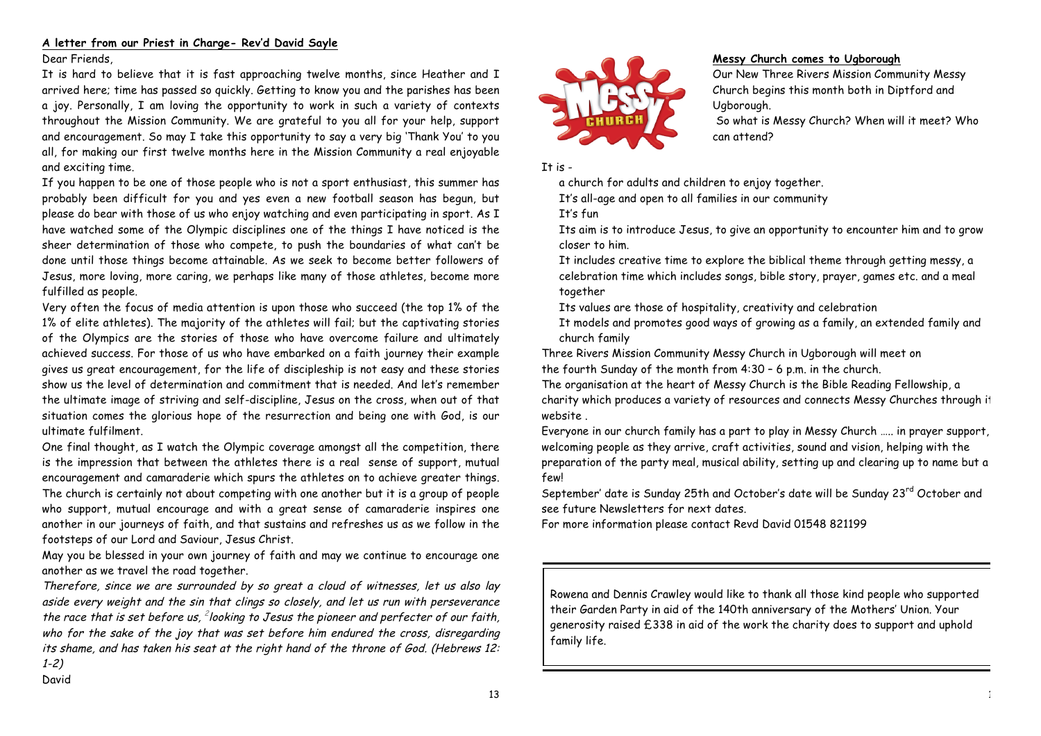## **A letter from our Priest in Charge- Rev'd David Sayle**

Dear Friends,

It is hard to believe that it is fast approaching twelve months, since Heather and I arrived here; time has passed so quickly. Getting to know you and the parishes has been a joy. Personally, I am loving the opportunity to work in such a variety of contexts throughout the Mission Community. We are grateful to you all for your help, support and encouragement. So may I take this opportunity to say a very big 'Thank You' to you all, for making our first twelve months here in the Mission Community a real enjoyable and exciting time.

If you happen to be one of those people who is not a sport enthusiast, this summer has probably been difficult for you and yes even a new football season has begun, but please do bear with those of us who enjoy watching and even participating in sport. As I have watched some of the Olympic disciplines one of the things I have noticed is the sheer determination of those who compete, to push the boundaries of what can't be done until those things become attainable. As we seek to become better followers of Jesus, more loving, more caring, we perhaps like many of those athletes, become more fulfilled as people.

Very often the focus of media attention is upon those who succeed (the top 1% of the 1% of elite athletes). The majority of the athletes will fail; but the captivating stories of the Olympics are the stories of those who have overcome failure and ultimately achieved success. For those of us who have embarked on a faith journey their example gives us great encouragement, for the life of discipleship is not easy and these stories show us the level of determination and commitment that is needed. And let's remember the ultimate image of striving and self-discipline, Jesus on the cross, when out of that situation comes the glorious hope of the resurrection and being one with God, is our ultimate fulfilment.

One final thought, as I watch the Olympic coverage amongst all the competition, there is the impression that between the athletes there is a real sense of support, mutual encouragement and camaraderie which spurs the athletes on to achieve greater things. The church is certainly not about competing with one another but it is a group of people who support, mutual encourage and with a great sense of camaraderie inspires one another in our journeys of faith, and that sustains and refreshes us as we follow in the footsteps of our Lord and Saviour, Jesus Christ.

May you be blessed in your own journey of faith and may we continue to encourage one another as we travel the road together.

Therefore, since we are surrounded by so great <sup>a</sup> cloud of witnesses, let us also lay aside every weight and the sin that clings so closely, and let us run with perseverance the race that is set before us,  $^{2}$ looking to Jesus the pioneer and perfecter of our faith, who for the sake of the joy that was set before him endured the cross, disregarding its shame, and has taken his seat at the right hand of the throne of God. (Hebrews 12: 1-2)



# **Messy Church comes to Ugborough**

Our New Three Rivers Mission Community Messy Church begins this month both in Diptford and Ugborough.

So what is Messy Church? When will it meet? Who can attend?

It is  $-$ 

a church for adults and children to enjoy together.

It's all-age and open to all families in our community

It's fun

 Its aim is to introduce Jesus, to give an opportunity to encounter him and to grow closer to him.

 It includes creative time to explore the biblical theme through getting messy, a celebration time which includes songs, bible story, prayer, games etc. and a meal together

Its values are those of hospitality, creativity and celebration

 It models and promotes good ways of growing as a family, an extended family and church family

Three Rivers Mission Community Messy Church in Ugborough will meet on the fourth Sunday of the month from 4:30 – 6 p.m. in the church.

The organisation at the heart of Messy Church is the Bible Reading Fellowship, a charity which produces a variety of resources and connects Messy Churches through it website .

Everyone in our church family has a part to play in Messy Church ….. in prayer support, welcoming people as they arrive, craft activities, sound and vision, helping with the preparation of the party meal, musical ability, setting up and clearing up to name but a few!

September' date is Sunday 25th and October's date will be Sunday 23<sup>rd</sup> October and see future Newsletters for next dates.

For more information please contact Revd David 01548 821199

Rowena and Dennis Crawley would like to thank all those kind people who supported their Garden Party in aid of the 140th anniversary of the Mothers' Union. Your generosity raised £338 in aid of the work the charity does to support and uphold family life.

David